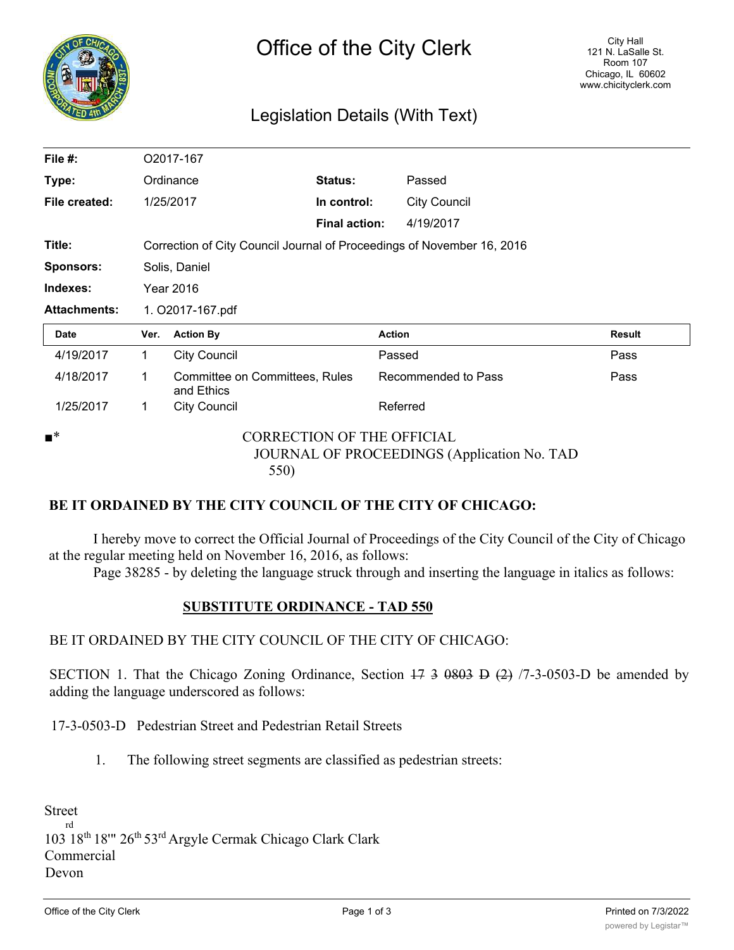| R<br>٦ |  |  |  |  |
|--------|--|--|--|--|
|        |  |  |  |  |
|        |  |  |  |  |
|        |  |  |  |  |
| its    |  |  |  |  |

# Legislation Details (With Text)

| File #:             |                                                                        | O2017-167                                    |                      |                     |        |
|---------------------|------------------------------------------------------------------------|----------------------------------------------|----------------------|---------------------|--------|
| Type:               |                                                                        | Ordinance                                    | Status:              | Passed              |        |
| File created:       |                                                                        | 1/25/2017                                    | In control:          | <b>City Council</b> |        |
|                     |                                                                        |                                              | <b>Final action:</b> | 4/19/2017           |        |
| Title:              | Correction of City Council Journal of Proceedings of November 16, 2016 |                                              |                      |                     |        |
| <b>Sponsors:</b>    | Solis, Daniel                                                          |                                              |                      |                     |        |
| Indexes:            | <b>Year 2016</b>                                                       |                                              |                      |                     |        |
| <b>Attachments:</b> | 1. O2017-167.pdf                                                       |                                              |                      |                     |        |
|                     |                                                                        |                                              |                      |                     |        |
| <b>Date</b>         | Ver.                                                                   | <b>Action By</b>                             | <b>Action</b>        |                     | Result |
| 4/19/2017           | $\mathbf 1$                                                            | <b>City Council</b>                          | Passed               |                     | Pass   |
| 4/18/2017           | 1                                                                      | Committee on Committees, Rules<br>and Ethics |                      | Recommended to Pass | Pass   |
| 1/25/2017           | $\mathbf{1}$                                                           | <b>City Council</b>                          | Referred             |                     |        |

#### **BE IT ORDAINED BY THE CITY COUNCIL OF THE CITY OF CHICAGO:**

I hereby move to correct the Official Journal of Proceedings of the City Council of the City of Chicago at the regular meeting held on November 16, 2016, as follows:

Page 38285 - by deleting the language struck through and inserting the language in italics as follows:

#### **SUBSTITUTE ORDINANCE - TAD 550**

### BE IT ORDAINED BY THE CITY COUNCIL OF THE CITY OF CHICAGO:

SECTION 1. That the Chicago Zoning Ordinance, Section  $17$  3 0803 D  $(2)$  /7-3-0503-D be amended by adding the language underscored as follows:

17-3-0503-D Pedestrian Street and Pedestrian Retail Streets

1. The following street segments are classified as pedestrian streets:

Street rd 103 18th 18'" 26th 53rd Argyle Cermak Chicago Clark Clark Commercial Devon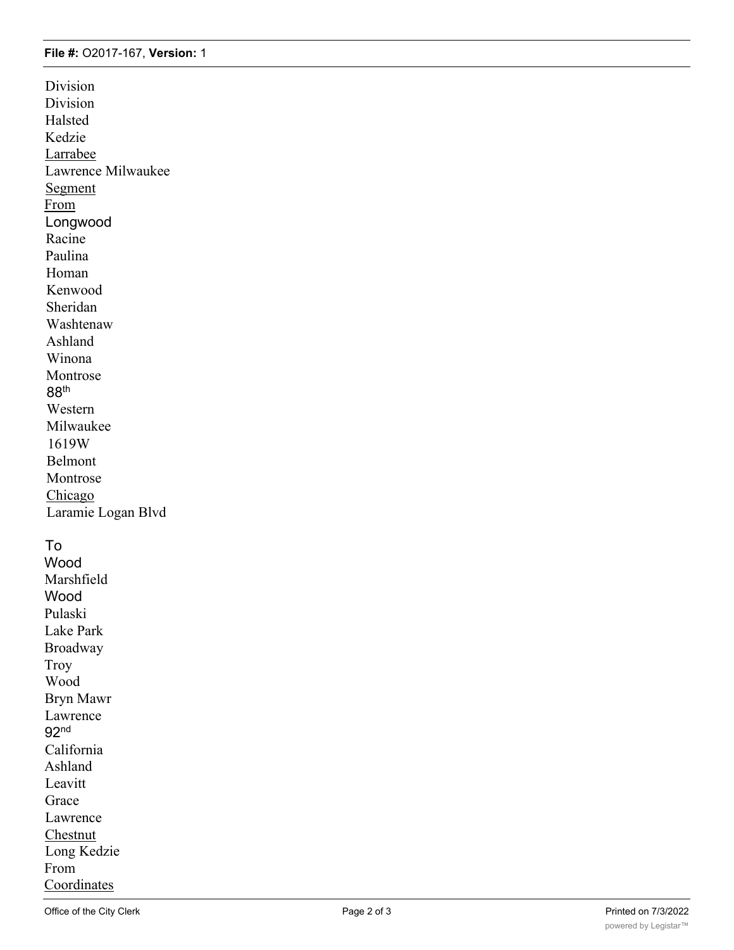#### **File #:** O2017-167, **Version:** 1

Division Division Halsted Kedzie Larrabee Lawrence Milwaukee Segment From Longwood Racine Paulina Homan Kenwood Sheridan Washtenaw Ashland Winona Montrose 88th Western Milwaukee 1619W Belmont Montrose Chicago Laramie Logan Blvd

### To

Wood Marshfield Wood Pulaski Lake Park Broadway Troy Wood Bryn Mawr Lawrence 92nd California Ashland Leavitt Grace Lawrence Chestnut Long Kedzie From Coordinates